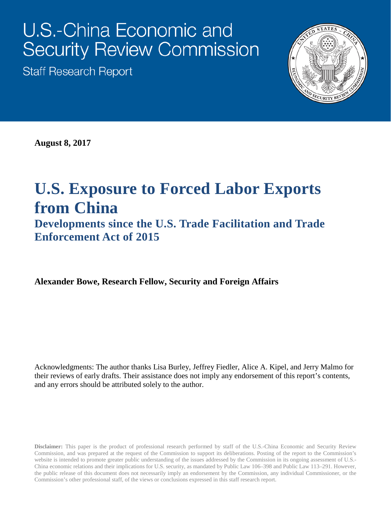# U.S.-China Economic and **Security Review Commission**

**Staff Research Report** 



**August 8, 2017**

## **U.S. Exposure to Forced Labor Exports from China**

**Developments since the U.S. Trade Facilitation and Trade Enforcement Act of 2015**

**Alexander Bowe, Research Fellow, Security and Foreign Affairs**

Acknowledgments: The author thanks Lisa Burley, Jeffrey Fiedler, Alice A. Kipel, and Jerry Malmo for their reviews of early drafts. Their assistance does not imply any endorsement of this report's contents, and any errors should be attributed solely to the author.

**Disclaimer:** This paper is the product of professional research performed by staff of the U.S.-China Economic and Security Review Commission, and was prepared at the request of the Commission to support its deliberations. Posting of the report to the Commission's website is intended to promote greater public understanding of the issues addressed by the Commission in its ongoing assessment of U.S.- China economic relations and their implications for U.S. security, as mandated by Public Law 106–398 and Public Law 113–291. However, the public release of this document does not necessarily imply an endorsement by the Commission, any individual Commissioner, or the Commission's other professional staff, of the views or conclusions expressed in this staff research report.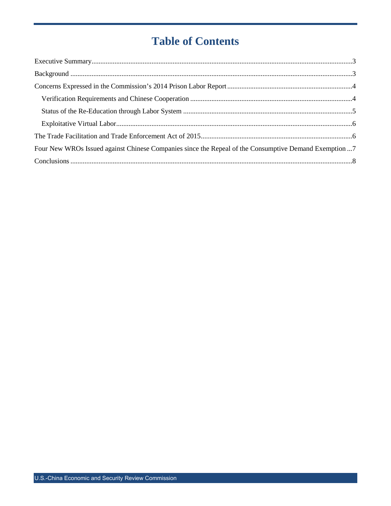## **Table of Contents**

| Four New WROs Issued against Chinese Companies since the Repeal of the Consumptive Demand Exemption 7 |  |
|-------------------------------------------------------------------------------------------------------|--|
|                                                                                                       |  |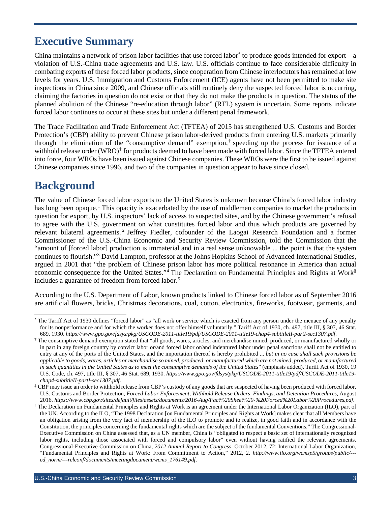## <span id="page-2-0"></span>**Executive Summary**

China maintains a network of prison labor facilities that use forced labor[\\*](#page-2-2) to produce goods intended for export—a violation of U.S.-China trade agreements and U.S. law. U.S. officials continue to face considerable difficulty in combating exports of these forced labor products, since cooperation from Chinese interlocutors has remained at low levels for years. U.S. Immigration and Customs Enforcement (ICE) agents have not been permitted to make site inspections in China since 2009, and Chinese officials still routinely deny the suspected forced labor is occurring, claiming the factories in question do not exist or that they do not make the products in question. The status of the planned abolition of the Chinese "re-education through labor" (RTL) system is uncertain. Some reports indicate forced labor continues to occur at these sites but under a different penal framework.

The Trade Facilitation and Trade Enforcement Act (TFTEA) of 2015 has strengthened U.S. Customs and Border Protection's (CBP) ability to prevent Chinese prison labor-derived products from entering U.S. markets primarily through the elimination of the "consumptive demand" exemption,  $\dagger$  speeding up the process for issuance of a withhold release order  $(WRO)^{\ddagger}$  for products deemed to have been made with forced labor. Since the TFTEA entered into force, four WROs have been issued against Chinese companies. These WROs were the first to be issued against Chinese companies since 1996, and two of the companies in question appear to have since closed.

## <span id="page-2-1"></span>**Background**

The value of Chinese forced labor exports to the United States is unknown because China's forced labor industry has long been opaque.<sup>[1](#page-9-0)</sup> This opacity is exacerbated by the use of middlemen companies to market the products in question for export, by U.S. inspectors' lack of access to suspected sites, and by the Chinese government's refusal to agree with the U.S. government on what constitutes forced labor and thus which products are governed by relevant bilateral agreements. [2](#page-9-1) Jeffrey Fiedler, cofounder of the Laogai Research Foundation and a former Commissioner of the U.S.-China Economic and Security Review Commission, told the Commission that the "amount of [forced labor] production is immaterial and in a real sense unknowable ... the point is that the system continues to flourish."[3](#page-9-2) David Lampton, professor at the Johns Hopkins School of Advanced International Studies, argued in 2001 that "the problem of Chinese prison labor has more political resonance in America than actual economic consequence for the United States."<sup>[4](#page-9-3)</sup> The Declaration on Fundamental Principles and Rights at Work<sup>[§](#page-2-5)</sup> includes a guarantee of freedom from forced labor. [5](#page-9-4)

According to the U.S. Department of Labor, known products linked to Chinese forced labor as of September 2016 are artificial flowers, bricks, Christmas decorations, coal, cotton, electronics, fireworks, footwear, garments, and

<span id="page-2-2"></span>The Tariff Act of 1930 defines "forced labor" as "all work or service which is exacted from any person under the menace of any penalty for its nonperformance and for which the worker does not offer himself voluntarily." Tariff Act of 1930, ch. 497, title III, § 307, 46 Stat. 689, 1930. https://www.gpo.gov/fdsys/pkg/USCODE-2011-title19/pdf/USCODE-2011-titl

<span id="page-2-3"></span><sup>&</sup>lt;sup>†</sup> The consumptive demand exemption stated that "all goods, wares, articles, and merchandise mined, produced, or manufactured wholly or in part in any foreign country by convict labor or/and forced labor or/and indentured labor under penal sanctions shall not be entitled to entry at any of the ports of the United States, and the importation thereof is hereby prohibited ... *but in no case shall such provisions be applicable to goods, wares, articles or merchandise so mined, produced, or manufactured which are not mined, produced, or manufactured in such quantities in the United States as to meet the consumptive demands of the United States*" (emphasis added). Tariff Act of 1930, 19 U.S. Code, ch. 497, title III, § 307, 46 Stat. 689, 1930. *[https://www.gpo.gov/fdsys/pkg/USCODE-2011-title19/pdf/USCODE-2011-title19](https://www.gpo.gov/fdsys/pkg/USCODE-2011-title19/pdf/USCODE-2011-title19-chap4-subtitleII-partI-sec1307.pdf) [chap4-subtitleII-partI-sec1307.pdf](https://www.gpo.gov/fdsys/pkg/USCODE-2011-title19/pdf/USCODE-2011-title19-chap4-subtitleII-partI-sec1307.pdf)*.

<span id="page-2-4"></span><sup>‡</sup> CBP may issue an order to withhold release from CBP's custody of any goods that are suspected of having been produced with forced labor. U.S. Customs and Border Protection, *Forced Labor Enforcement, Withhold Release Orders, Findings, and Detention Procedures*, August

<span id="page-2-5"></span>The Declaration on Fundamental Principles and Rights at Work is an agreement under the International Labor Organization (ILO), part of the UN. According to the ILO, "The 1998 Declaration [on Fundamental Principles and Rights at Work] makes clear that all Members have an obligation arising from the very fact of membership of the ILO to promote and to realize, in good faith and in accordance with the Constitution, the principles concerning the fundamental rights which are the subject of the fundamental Conventions." The Congressional-Executive Commission on China assessed that, as a UN member, China is "obligated to respect a basic set of internationally recognized labor rights, including those associated with forced and compulsory labor" even without having ratified the relevant agreements. Congressional-Executive Commission on China, *2012 Annual Report to Congress*, October 2012, 72; International Labor Organization, "Fundamental Principles and Rights at Work: From Commitment to Action," 2012, 2. *[http://www.ilo.org/wcmsp5/groups/public/--](http://www.ilo.org/wcmsp5/groups/public/---ed_norm/---relconf/documents/meetingdocument/wcms_176149.pdf) [ed\\_norm/---relconf/documents/meetingdocument/wcms\\_176149.pdf](http://www.ilo.org/wcmsp5/groups/public/---ed_norm/---relconf/documents/meetingdocument/wcms_176149.pdf)*.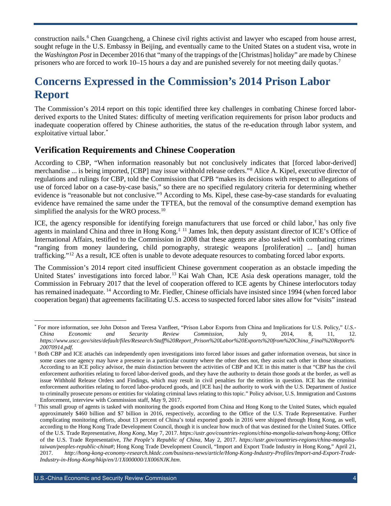construction nails.[6](#page-9-5) Chen Guangcheng, a Chinese civil rights activist and lawyer who escaped from house arrest, sought refuge in the U.S. Embassy in Beijing, and eventually came to the United States on a student visa, wrote in the *Washington Post* in December 2016 that "many of the trappings of the [Christmas] holiday" are made by Chinese prisoners who are forced to work 10–15 hours a day and are punished severely for not meeting daily quotas.<sup>[7](#page-9-6)</sup>

## <span id="page-3-0"></span>**Concerns Expressed in the Commission's 2014 Prison Labor Report**

The Commission's 2014 report on this topic identified three key challenges in combating Chinese forced laborderived exports to the United States: difficulty of meeting verification requirements for prison labor products and inadequate cooperation offered by Chinese authorities, the status of the re-education through labor system, and exploitative virtual labor. [\\*](#page-3-2)

#### <span id="page-3-1"></span>**Verification Requirements and Chinese Cooperation**

According to CBP, "When information reasonably but not conclusively indicates that [forced labor-derived] merchandise ... is being imported, [CBP] may issue withhold release orders."[8](#page-9-7) Alice A. Kipel, executive director of regulations and rulings for CBP, told the Commission that CPB "makes its decisions with respect to allegations of use of forced labor on a case-by-case basis," so there are no specified regulatory criteria for determining whether evidence is "reasonable but not conclusive."[9](#page-9-8) According to Ms. Kipel, these case-by-case standards for evaluating evidence have remained the same under the TFTEA, but the removal of the consumptive demand exemption has simplified the analysis for the WRO process.<sup>[10](#page-9-9)</sup>

ICE, the agency responsible for identifying foreign manufacturers that use forced or child labor, [†](#page-3-3) has only five agents in mainland China and three in Hong Kong.<sup>[‡](#page-3-4) [11](#page-9-10)</sup> James Ink, then deputy assistant director of ICE's Office of International Affairs, testified to the Commission in 2008 that these agents are also tasked with combating crimes "ranging from money laundering, child pornography, strategic weapons [proliferation] ... [and] human trafficking."[12](#page-9-11) As a result, ICE often is unable to devote adequate resources to combating forced labor exports.

The Commission's 2014 report cited insufficient Chinese government cooperation as an obstacle impeding the United States' investigations into forced labor.<sup>[13](#page-9-12)</sup> Kai Wah Chan, ICE Asia desk operations manager, told the Commission in February 2017 that the level of cooperation offered to ICE agents by Chinese interlocutors today has remained inadequate. <sup>[14](#page-9-13)</sup> According to Mr. Fiedler, Chinese officials have insisted since 1994 (when forced labor cooperation began) that agreements facilitating U.S. access to suspected forced labor sites allow for "visits" instead

<span id="page-3-2"></span> <sup>\*</sup> For more information, see John Dotson and Teresa Vanfleet, "Prison Labor Exports from China and Implications for U.S. Policy," *U.S.- China Economic and Security Review Commission*, July 9, 2014, 8, 11, 12. *[https://www.uscc.gov/sites/default/files/Research/Staff%20Report\\_Prison%20Labor%20Exports%20from%20China\\_Final%20Report%](https://www.uscc.gov/sites/default/files/Research/Staff%20Report_Prison%20Labor%20Exports%20from%20China_Final%20Report%20070914.pdf) [20070914.pdf](https://www.uscc.gov/sites/default/files/Research/Staff%20Report_Prison%20Labor%20Exports%20from%20China_Final%20Report%20070914.pdf)*.

<span id="page-3-3"></span><sup>†</sup> Both CBP and ICE attachés can independently open investigations into forced labor issues and gather information overseas, but since in some cases one agency may have a presence in a particular country where the other does not, they assist each other in those situations. According to an ICE policy advisor, the main distinction between the activities of CBP and ICE in this matter is that "CBP has the civil enforcement authorities relating to forced labor-derived goods, and they have the authority to detain those goods at the border, as well as issue Withhold Release Orders and Findings, which may result in civil penalties for the entities in question. ICE has the criminal enforcement authorities relating to forced labor-produced goods, and [ICE has] the authority to work with the U.S. Department of Justice to criminally prosecute persons or entities for violating criminal laws relating to this topic." Policy advisor, U.S. Immigration and Customs Enforcement, interview with Commission staff, May 9, 2017.

<span id="page-3-4"></span>This small group of agents is tasked with monitoring the goods exported from China and Hong Kong to the United States, which equaled approximately \$460 billion and \$7 billion in 2016, respectively, according to the Office of the U.S. Trade Representative. Further complicating monitoring efforts, about 13 percent of China's total exported goods in 2016 were shipped through Hong Kong, as well, according to the Hong Kong Trade Development Council, though it is unclear how much of that was destined for the United States. Office of the U.S. Trade Representative, *Hong Kong*, May 7, 2017. *<https://ustr.gov/countries-regions/china-mongolia-taiwan/hong-kong>*; Office of the U.S. Trade Representative, *The People's Republic of China*, May 2, 2017. *[https://ustr.gov/countries-regions/china-mongolia](https://ustr.gov/countries-regions/china-mongolia-taiwan/peoples-republic-china)[taiwan/peoples-republic-china#](https://ustr.gov/countries-regions/china-mongolia-taiwan/peoples-republic-china)*; Hong Kong Trade Development Council, "Import and Export Trade Industry in Hong Kong," April 21, 2017. *[http://hong-kong-economy-research.hktdc.com/business-news/article/Hong-Kong-Industry-Profiles/Import-and-Export-Trade-](http://hong-kong-economy-research.hktdc.com/business-news/article/Hong-Kong-Industry-Profiles/Import-and-Export-Trade-Industry-in-Hong-Kong/hkip/en/1/1X000000/1X006NJK.htm)[Industry-in-Hong-Kong/hkip/en/1/1X000000/1X006NJK.htm](http://hong-kong-economy-research.hktdc.com/business-news/article/Hong-Kong-Industry-Profiles/Import-and-Export-Trade-Industry-in-Hong-Kong/hkip/en/1/1X000000/1X006NJK.htm)*.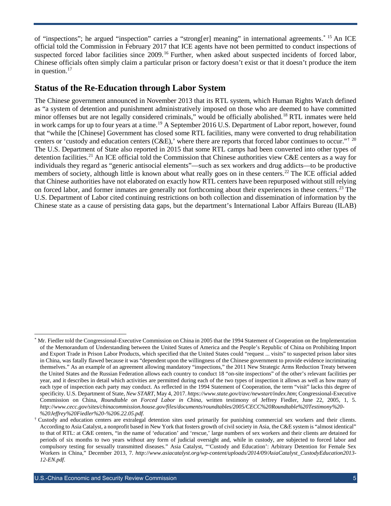of "inspections"; he argued "inspection" carries a "strong[er] meaning" in international agreements. <sup>[\\*](#page-4-1) [15](#page-9-14)</sup> An ICE official told the Commission in February 2017 that ICE agents have not been permitted to conduct inspections of suspected forced labor facilities since 2009.<sup>[16](#page-9-15)</sup> Further, when asked about suspected incidents of forced labor, Chinese officials often simply claim a particular prison or factory doesn't exist or that it doesn't produce the item in question. [17](#page-9-16)

#### <span id="page-4-0"></span>**Status of the Re-Education through Labor System**

The Chinese government announced in November 2013 that its RTL system, which Human Rights Watch defined as "a system of detention and punishment administratively imposed on those who are deemed to have committed minor offenses but are not legally considered criminals," would be officially abolished.<sup>[18](#page-9-17)</sup> RTL inmates were held in work camps for up to four years at a time.<sup>[19](#page-9-18)</sup> A September 2016 U.S. Department of Labor report, however, found that "while the [Chinese] Government has closed some RTL facilities, many were converted to drug rehabilitation centers or 'custody and education centers (C&E),' where there are reports that forced labor continues to occur."<sup>[†](#page-4-2) [20](#page-9-19)</sup> The U.S. Department of State also reported in 2015 that some RTL camps had been converted into other types of detention facilities.<sup>[21](#page-9-20)</sup> An ICE official told the Commission that Chinese authorities view C&E centers as a way for individuals they regard as "generic antisocial elements"—such as sex workers and drug addicts—to be productive members of society, although little is known about what really goes on in these centers.<sup>[22](#page-9-21)</sup> The ICE official added that Chinese authorities have not elaborated on exactly how RTL centers have been repurposed without still relying on forced labor, and former inmates are generally not forthcoming about their experiences in these centers. [23](#page-9-22) The U.S. Department of Labor cited continuing restrictions on both collection and dissemination of information by the Chinese state as a cause of persisting data gaps, but the department's International Labor Affairs Bureau (ILAB)

<span id="page-4-1"></span>Mr. Fiedler told the Congressional-Executive Commission on China in 2005 that the 1994 Statement of Cooperation on the Implementation of the Memorandum of Understanding between the United States of America and the People's Republic of China on Prohibiting Import and Export Trade in Prison Labor Products, which specified that the United States could "request ... visits" to suspected prison labor sites in China, was fatally flawed because it was "dependent upon the willingness of the Chinese government to provide evidence incriminating themselves." As an example of an agreement allowing mandatory "inspections," the 2011 New Strategic Arms Reduction Treaty between the United States and the Russian Federation allows each country to conduct 18 "on-site inspections" of the other's relevant facilities per year, and it describes in detail which activities are permitted during each of the two types of inspection it allows as well as how many of each type of inspection each party may conduct. As reflected in the 1994 Statement of Cooperation, the term "visit" lacks this degree of specificity. U.S. Department of State, *New START*, May 4, 2017. *<https://www.state.gov/t/avc/newstart/index.htm>*; Congressional-Executive Commission on China, *Roundtable on Forced Labor in China*, written testimony of Jeffrey Fiedler, June 22, 2005, 1, 5. *[http://www.cecc.gov/sites/chinacommission.house.gov/files/documents/roundtables/2005/CECC%20Roundtable%20Testimony%20-](http://www.cecc.gov/sites/chinacommission.house.gov/files/documents/roundtables/2005/CECC%20Roundtable%20Testimony%20-%20Jeffrey%20Fiedler%20-%206.22.05.pdf)* %20Jeffrey%20Fiedler%20-%206.22.05.pdf.<br>Custody and education centers are extralegal detention sites used primarily for punishing commercial sex workers and their clients.

<span id="page-4-2"></span>According to Asia Catalyst, a nonprofit based in New York that fosters growth of civil society in Asia, the C&E system is "almost identical" to that of RTL: at C&E centers, "in the name of 'education' and 'rescue,' large numbers of sex workers and their clients are detained for periods of six months to two years without any form of judicial oversight and, while in custody, are subjected to forced labor and compulsory testing for sexually transmitted diseases." Asia Catalyst, "'Custody and Education': Arbitrary Detention for Female Sex Workers in China," December 2013, 7. *[http://www.asiacatalyst.org/wp-content/uploads/2014/09/AsiaCatalyst\\_CustodyEducation2013-](http://www.asiacatalyst.org/wp-content/uploads/2014/09/AsiaCatalyst_CustodyEducation2013-12-EN.pdf) [12-EN.pdf](http://www.asiacatalyst.org/wp-content/uploads/2014/09/AsiaCatalyst_CustodyEducation2013-12-EN.pdf)*.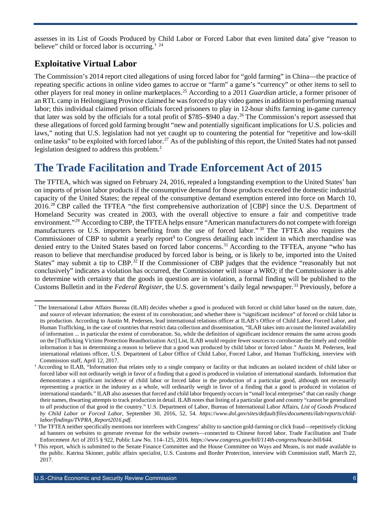assesses in its List of Goods Produced by Child Labor or Forced Labor that even limited data[\\*](#page-5-2) give "reason to believe" child or forced labor is occurring.<sup>[†](#page-5-3) [24](#page-9-23)</sup>

#### <span id="page-5-0"></span>**Exploitative Virtual Labor**

The Commission's 2014 report cited allegations of using forced labor for "gold farming" in China—the practice of repeating specific actions in online video games to accrue or "farm" a game's "currency" or other items to sell to other players for real money in online marketplaces.[25](#page-9-24) According to a 2011 *Guardian* article, a former prisoner of an RTL camp in Heilongjiang Province claimed he was forced to play video games in addition to performing manual labor; this individual claimed prison officials forced prisoners to play in 12-hour shifts farming in-game currency that later was sold by the officials for a total profit of \$785–\$940 a day.[26](#page-9-25) The Commission's report assessed that these allegations of forced gold farming brought "new and potentially significant implications for U.S. policies and laws," noting that U.S. legislation had not yet caught up to countering the potential for "repetitive and low-skill online tasks" to be exploited with forced labor.<sup>[27](#page-9-26)</sup> As of the publishing of this report, the United States had not passed legislation designed to address this problem.[‡](#page-5-4)

## <span id="page-5-1"></span>**The Trade Facilitation and Trade Enforcement Act of 2015**

The TFTEA, which was signed on February 24, 2016, repealed a longstanding exemption to the United States' ban on imports of prison labor products if the consumptive demand for those products exceeded the domestic industrial capacity of the United States; the repeal of the consumptive demand exemption entered into force on March 10, 2016.<sup>[28](#page-10-0)</sup> CBP called the TFTEA "the first comprehensive authorization of [CBP] since the U.S. Department of Homeland Security was created in 2003, with the overall objective to ensure a fair and competitive trade environment."[29](#page-10-1) According to CBP, the TFTEA helps ensure "American manufacturers do not compete with foreign manufacturers or U.S. importers benefiting from the use of forced labor." [30](#page-10-2) The TFTEA also requires the Commissioner of CBP to submit a yearly report[§](#page-5-5) to Congress detailing each incident in which merchandise was denied entry to the United States based on forced labor concerns.<sup>[31](#page-10-3)</sup> According to the TFTEA, anyone "who has reason to believe that merchandise produced by forced labor is being, or is likely to be, imported into the United States" may submit a tip to CBP.<sup>[32](#page-10-4)</sup> If the Commissioner of CBP judges that the evidence "reasonably but not conclusively" indicates a violation has occurred, the Commissioner will issue a WRO; if the Commissioner is able to determine with certainty that the goods in question are in violation, a formal finding will be published to the Customs Bulletin and in the *Federal Register*, the U.S. government's daily legal newspaper. [33](#page-10-5) Previously, before a

<span id="page-5-2"></span>The International Labor Affairs Bureau (ILAB) decides whether a good is produced with forced or child labor based on the nature, date, and source of relevant information; the extent of its corroboration; and whether there is "significant incidence" of forced or child labor in its production. According to Austin M. Pedersen, lead international relations officer at ILAB's Office of Child Labor, Forced Labor, and Human Trafficking, in the case of countries that restrict data collection and dissemination, "ILAB takes into account the limited availability of information ... in particular the extent of corroboration. So, while the definition of significant incidence remains the same across goods on the [Trafficking Victims Protection Reauthorization Act] List, ILAB would require fewer sources to corroborate the timely and credible information it has in determining a reason to believe that a good was produced by child labor or forced labor." Austin M. Pedersen, lead international relations officer, U.S. Department of Labor Office of Child Labor, Forced Labor, and Human Trafficking, interview with Commission staff, April 12, 2017.

<span id="page-5-3"></span><sup>†</sup> According to ILAB, "Information that relates only to a single company or facility or that indicates an isolated incident of child labor or forced labor will not ordinarily weigh in favor of a finding that a good is produced in violation of international standards. Information that demonstrates a significant incidence of child labor or forced labor in the production of a particular good, although not necessarily representing a practice in the industry as a whole, will ordinarily weigh in favor of a finding that a good is produced in violation of international standards." ILAB also assesses that forced and child labor frequently occurs in "small local enterprises" that can easily change their names, thwarting attempts to track production in detail. ILAB notes that listing of a particular good and country "cannot be generalized to *all* production of that good in the country." U.S. Department of Labor, Bureau of International Labor Affairs, *List of Goods Produced by Child Labor or Forced Labor*, September 30, 2016, 52, 54. *[https://www.dol.gov/sites/default/files/documents/ilab/reports/child](https://www.dol.gov/sites/default/files/documents/ilab/reports/child-labor/findings/TVPRA_Report2016.pdf)[labor/findings/TVPRA\\_Report2016.pdf](https://www.dol.gov/sites/default/files/documents/ilab/reports/child-labor/findings/TVPRA_Report2016.pdf)*.

<span id="page-5-4"></span><sup>‡</sup> The TFTEA neither specifically mentions nor interferes with Congress' ability to sanction gold-farming or click fraud—repetitively clicking ad banners on websites to generate revenue for the website owners—connected to Chinese forced labor. Trade Facilitation and Trade Enforcement Act of 2015 § 922, Public Law No. 114–125, 2016. *<https://www.congress.gov/bill/114th-congress/house-bill/644>*.

<span id="page-5-5"></span>This report, which is submitted to the Senate Finance Committee and the House Committee on Ways and Means, is not made available to the public. Katrina Skinner, public affairs specialist, U.S. Customs and Border Protection, interview with Commission staff, March 22, 2017.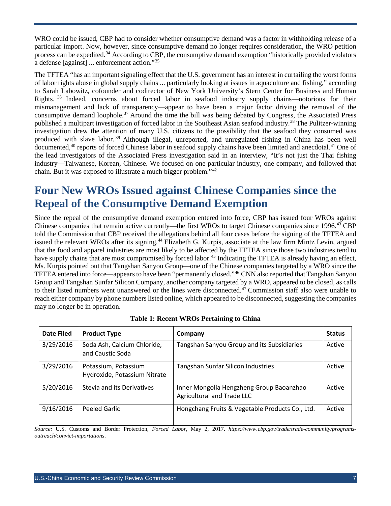WRO could be issued, CBP had to consider whether consumptive demand was a factor in withholding release of a particular import. Now, however, since consumptive demand no longer requires consideration, the WRO petition process can be expedited.[34](#page-10-6) According to CBP, the consumptive demand exemption "historically provided violators a defense [against] ... enforcement action."[35](#page-10-7)

The TFTEA "has an important signaling effect that the U.S. government has an interest in curtailing the worst forms of labor rights abuse in global supply chains ... particularly looking at issues in aquaculture and fishing," according to Sarah Labowitz, cofounder and codirector of New York University's Stern Center for Business and Human Rights. [36](#page-10-8) Indeed, concerns about forced labor in seafood industry supply chains—notorious for their mismanagement and lack of transparency—appear to have been a major factor driving the removal of the consumptive demand loophole.[37](#page-10-9) Around the time the bill was being debated by Congress, the Associated Press published a multipart investigation of forced labor in the Southeast Asian seafood industry.[38](#page-10-10) The Pulitzer-winning investigation drew the attention of many U.S. citizens to the possibility that the seafood they consumed was produced with slave labor. [39](#page-10-11) Although illegal, unreported, and unregulated fishing in China has been well documented,<sup>[40](#page-10-12)</sup> reports of forced Chinese labor in seafood supply chains have been limited and anecdotal.<sup>[41](#page-10-13)</sup> One of the lead investigators of the Associated Press investigation said in an interview, "It's not just the Thai fishing industry—Taiwanese, Korean, Chinese. We focused on one particular industry, one company, and followed that chain. But it was exposed to illustrate a much bigger problem."[42](#page-10-14)

## <span id="page-6-0"></span>**Four New WROs Issued against Chinese Companies since the Repeal of the Consumptive Demand Exemption**

Since the repeal of the consumptive demand exemption entered into force, CBP has issued four WROs against Chinese companies that remain active currently—the first WROs to target Chinese companies since 1996.<sup>[43](#page-10-15)</sup> CBP told the Commission that CBP received the allegations behind all four cases before the signing of the TFTEA and issued the relevant WROs after its signing.<sup>[44](#page-10-16)</sup> Elizabeth G. Kurpis, associate at the law firm Mintz Levin, argued that the food and apparel industries are most likely to be affected by the TFTEA since those two industries tend to have supply chains that are most compromised by forced labor.<sup>[45](#page-10-17)</sup> Indicating the TFTEA is already having an effect, Ms. Kurpis pointed out that Tangshan Sanyou Group—one of the Chinese companies targeted by a WRO since the TFTEA entered into force—appears to have been "permanently closed."[46](#page-10-18) CNN also reported that Tangshan Sanyou Group and Tangshan Sunfar Silicon Company, another company targeted by a WRO, appeared to be closed, as calls to their listed numbers went unanswered or the lines were disconnected.[47](#page-10-19) Commission staff also were unable to reach either company by phone numbers listed online, which appeared to be disconnected, suggesting the companies may no longer be in operation.

| Date Filed | <b>Product Type</b>                                                                                  | Company                                         | <b>Status</b> |
|------------|------------------------------------------------------------------------------------------------------|-------------------------------------------------|---------------|
| 3/29/2016  | Soda Ash, Calcium Chloride,<br>and Caustic Soda                                                      | Tangshan Sanyou Group and its Subsidiaries      | Active        |
| 3/29/2016  | Potassium, Potassium<br>Hydroxide, Potassium Nitrate                                                 | Tangshan Sunfar Silicon Industries              | Active        |
| 5/20/2016  | Stevia and its Derivatives<br>Inner Mongolia Hengzheng Group Baoanzhao<br>Agricultural and Trade LLC |                                                 | Active        |
| 9/16/2016  | Peeled Garlic                                                                                        | Hongchang Fruits & Vegetable Products Co., Ltd. | Active        |

|  |  |  |  | <b>Table 1: Recent WROs Pertaining to China</b> |  |
|--|--|--|--|-------------------------------------------------|--|
|--|--|--|--|-------------------------------------------------|--|

*Source:* U.S. Customs and Border Protection, *Forced Labor*, May 2, 2017. *https://www.cbp.gov/trade/trade-community/programsoutreach/convict-importations*.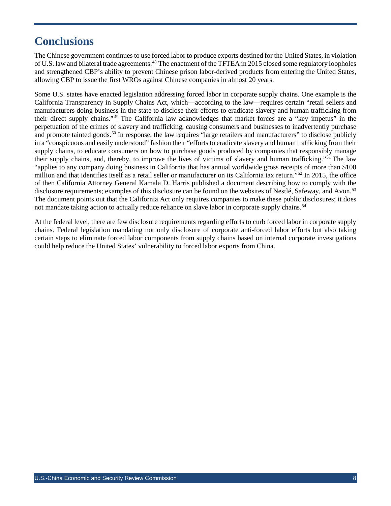## <span id="page-7-0"></span>**Conclusions**

The Chinese government continues to use forced labor to produce exports destined for the United States, in violation of U.S. law and bilateral trade agreements.<sup>[48](#page-10-20)</sup> The enactment of the TFTEA in 2015 closed some regulatory loopholes and strengthened CBP's ability to prevent Chinese prison labor-derived products from entering the United States, allowing CBP to issue the first WROs against Chinese companies in almost 20 years.

Some U.S. states have enacted legislation addressing forced labor in corporate supply chains. One example is the California Transparency in Supply Chains Act, which—according to the law—requires certain "retail sellers and manufacturers doing business in the state to disclose their efforts to eradicate slavery and human trafficking from their direct supply chains."[49](#page-10-21) The California law acknowledges that market forces are a "key impetus" in the perpetuation of the crimes of slavery and trafficking, causing consumers and businesses to inadvertently purchase and promote tainted goods.<sup>[50](#page-10-1)</sup> In response, the law requires "large retailers and manufacturers" to disclose publicly in a "conspicuous and easily understood" fashion their "efforts to eradicate slavery and human trafficking from their supply chains, to educate consumers on how to purchase goods produced by companies that responsibly manage their supply chains, and, thereby, to improve the lives of victims of slavery and human trafficking."[51](#page-10-22) The law "applies to any company doing business in California that has annual worldwide gross receipts of more than \$100 million and that identifies itself as a retail seller or manufacturer on its California tax return."<sup>[52](#page-10-23)</sup> In 2015, the office of then California Attorney General Kamala D. Harris published a document describing how to comply with the disclosure requirements; examples of this disclosure can be found on the websites of Nestlé, Safeway, and Avon.<sup>[53](#page-10-3)</sup> The document points out that the California Act only requires companies to make these public disclosures; it does not mandate taking action to actually reduce reliance on slave labor in corporate supply chains.<sup>[54](#page-10-5)</sup>

At the federal level, there are few disclosure requirements regarding efforts to curb forced labor in corporate supply chains. Federal legislation mandating not only disclosure of corporate anti-forced labor efforts but also taking certain steps to eliminate forced labor components from supply chains based on internal corporate investigations could help reduce the United States' vulnerability to forced labor exports from China.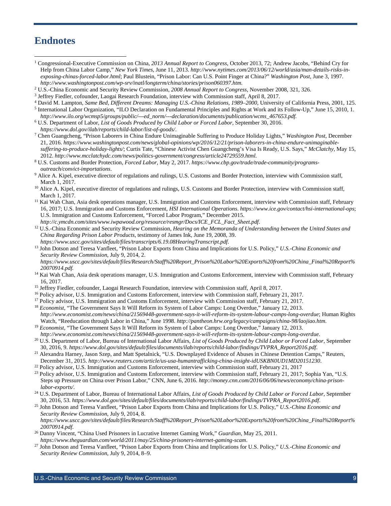#### **Endnotes**

 $\overline{a}$ 

- <sup>1</sup> Congressional-Executive Commission on China, *2013 Annual Report to Congress*, October 2013, 72; Andrew Jacobs, "Behind Cry for Help from China Labor Camp," *New York Times*, June 11, 2013. *[http://www.nytimes.com/2013/06/12/world/asia/man-details-risks-in](http://www.nytimes.com/2013/06/12/world/asia/man-details-risks-in-exposing-chinas-forced-labor.html)[exposing-chinas-forced-labor.html](http://www.nytimes.com/2013/06/12/world/asia/man-details-risks-in-exposing-chinas-forced-labor.html)*; Paul Blustein, "Prison Labor: Can U.S. Point Finger at China?" *Washington Post*, June 3, 1997. *<http://www.washingtonpost.com/wp-srv/inatl/longterm/china/stories/prison060397.htm>*.
- <sup>2</sup> U.S.-China Economic and Security Review Commission, *2008 Annual Report to Congress*, November 2008, 321, 326.
- 
- <sup>4</sup> David M. Lampton, Same Bed, Different Dreams: Managing U.S.-China Relations, 1989-2000, University of California Press, 2001, 125.
- <sup>5</sup> International Labor Organization, "ILO Declaration on Fundamental Principles and Rights at Work and its Follow-Up," June 15, 2010, 1. *[http://www.ilo.org/wcmsp5/groups/public/---ed\\_norm/---declaration/documents/publication/wcms\\_467653.pdf.](http://www.ilo.org/wcmsp5/groups/public/---ed_norm/---declaration/documents/publication/wcms_467653.pdf)*
- <sup>6</sup> U.S. Department of Labor, *List of Goods Produced by Child Labor or Forced Labor*, September 30, 2016.
- 
- *https://www.dol.gov/ilab/reports/child-labor/list-of-goods/*[.](https://www.dol.gov/ilab/reports/child-labor/list-of-goods/) 7 Chen Guangcheng, "Prison Laborers in China Endure Unimaginable Suffering to Produce Holiday Lights," *Washington Post*, December 21, 2016. *[https://www.washingtonpost.com/news/global-opinions/wp/2016/12/21/prison-laborers-in-china-endure-unimaginable](https://www.washingtonpost.com/news/global-opinions/wp/2016/12/21/prison-laborers-in-china-endure-unimaginable-suffering-to-produce-holiday-lights/?utm_term=.8fd01d83da3e)[suffering-to-produce-holiday-lights/](https://www.washingtonpost.com/news/global-opinions/wp/2016/12/21/prison-laborers-in-china-endure-unimaginable-suffering-to-produce-holiday-lights/?utm_term=.8fd01d83da3e)*; Curtis Tate, "Chinese Activist Chen Guangcheng's Visa Is Ready, U.S. Says," *McClatchy*, May 15, 2012[.](http://www.mcclatchydc.com/news/politics-government/congress/article24729559.html) http://www.mcclatchydc.com/news/politics-government/congress/article24729559.html.<br><sup>8</sup> U.S. Customs and Border Protection, *Forced Labor*, May 2, 2017. [https://www.cbp.gov/trade/trade-community/programs-](https://www.cbp.gov/trade/trade-community/programs-outreach/convict-importations)
- *[outreach/convict-importations](https://www.cbp.gov/trade/trade-community/programs-outreach/convict-importations)*.
- <sup>9</sup> Alice A. Kipel, executive director of regulations and rulings, U.S. Customs and Border Protection, interview with Commission staff, March 1, 2017.
- <sup>10</sup> Alice A. Kipel, executive director of regulations and rulings, U.S. Customs and Border Protection, interview with Commission staff, March 1, 2017.
- <sup>11</sup> Kai Wah Chan, Asia desk operations manager, U.S. Immigration and Customs Enforcement, interview with Commission staff, February 16, 2017; U.S. Immigration and Customs Enforcement, *HSI International Operations*. *<https://www.ice.gov/contact/hsi-international-ops>*; U.S. Immigration and Customs Enforcement, "Forced Labor Program," December 2015.
- http://c[.](http://c.ymcdn.com/sites/www.iwpawood.org/resource/resmgr/Docs/ICE_FCL_Fact_Sheet.pdf)ymcdn.com/sites/www.iwpawood.org/resource/resmgr/Docs/ICE\_FCL\_Fact\_Sheet.pdf.<br><sup>12</sup> U.S.-China Economic and Security Review Commission, *Hearing on the Memoranda of Understanding between the United States and China Regarding Prison Labor Products*, testimony of James Ink, June 19, 2008, 39.
- <sup>13</sup> John Dotson and Teresa Vanfleet, "Prison Labor Exports from China and Implications for U.S[.](https://www.uscc.gov/sites/default/files/transcripts/6.19.08HearingTranscript.pdf) Policy," U.S.-China Economic and *Security Review Commission*, July 9, 2014, 2.

*[https://www.uscc.gov/sites/default/files/Research/Staff%20Report\\_Prison%20Labor%20Exports%20from%20China\\_Final%20Report%](https://www.uscc.gov/sites/default/files/Research/Staff%20Report_Prison%20Labor%20Exports%20from%20China_Final%20Report%20070914.pdf) [20070914.pdf.](https://www.uscc.gov/sites/default/files/Research/Staff%20Report_Prison%20Labor%20Exports%20from%20China_Final%20Report%20070914.pdf)*

- <sup>14</sup> Kai Wah Chan, Asia desk operations manager, U.S. Immigration and Customs Enforcement, interview with Commission staff, February 16, 2017.
- <sup>15</sup> Jeffrey Fiedler, cofounder, Laogai Research Foundation, interview with Commission staff, April 8, 2017.
- <sup>16</sup> Policy advisor, U.S. Immigration and Customs Enforcement, interview with Commission staff, February 21, 2017.
- <sup>17</sup> Policy advisor, U.S. Immigration and Customs Enforcement, interview with Commission staff, February 21, 2017.
- <sup>18</sup> *Economist*, "The Government Says It Will Reform its System of Labor Camps: Long Overdue," January 12, 2013. *<http://www.economist.com/news/china/21569448-government-says-it-will-reform-its-system-labour-camps-long-overdue>*; Human Rights Watch, "Reeducation through Labor in China," June 1998. *<http://pantheon.hrw.org/legacy/campaigns/china-98/laojiao.htm>*.
- <sup>19</sup> *Economist*, "The Government Says It Will Reform its System of Labor Camps: Long Overdue," January 12, 2013.
- http://www.economist.com/news/china/21569448-government-says-it-will-reform-its-system-labour-camps-long-overdue.<br><sup>20</sup> U.S[.](http://www.economist.com/news/china/21569448-government-says-it-will-reform-its-system-labour-camps-long-overdue) Department of Labor, Bureau of International Labor Affairs, *List of Goods Produced by Child Labor*
- <sup>21</sup> Alexandra Harney, Jason Szep, and Matt Spetalnick, "U[.](https://www.dol.gov/sites/default/files/documents/ilab/reports/child-labor/findings/TVPRA_Report2016.pdf)S. Downplayed Evidence of Abuses in Chinese Detention Camps," Reuters, December 31, 2015[.](http://www.reuters.com/article/us-usa-humantrafficking-china-insight-idUSKBN0UD1MD20151230) http://www.reuters.com/article/us-usa-humantrafficking-china-insight-idUSKBN0UD1MD20151230.<br><sup>22</sup> Policy advisor, U.S. Immigration and Customs Enforcement, interview with Commission staff, February 21, 20
- 
- <sup>23</sup> Policy advisor, U.S. Immigration and Customs Enforcement, interview with Commission staff, February 21, 2017; Sophia Yan, "U.S. Steps up Pressure on China over Prison Labor," CNN, June 6, 2016. *[http://money.cnn.com/2016/06/06/news/economy/china-prison](http://money.cnn.com/2016/06/06/news/economy/china-prison-labor-exports/)[labor-exports/](http://money.cnn.com/2016/06/06/news/economy/china-prison-labor-exports/)*.
- <sup>24</sup> U.S. Department of Labor, Bureau of International Labor Affairs, *List of Goods Produced by Child Labor or Forced Labor*, September 30, 2016, 53. *[https://www.dol.gov/sites/default/files/documents/ilab/reports/child-labor/findings/TVPRA\\_Report2016.pdf](https://www.dol.gov/sites/default/files/documents/ilab/reports/child-labor/findings/TVPRA_Report2016.pdf)*.
- <sup>25</sup> John Dotson and Teresa Vanfleet, "Prison Labor Exports from China and Implications for U.S. Policy," *U.S.-China Economic and Security Review Commission*, July 9, 2014, 8. *[https://www.uscc.gov/sites/default/files/Research/Staff%20Report\\_Prison%20Labor%20Exports%20from%20China\\_Final%20Report%](https://www.uscc.gov/sites/default/files/Research/Staff%20Report_Prison%20Labor%20Exports%20from%20China_Final%20Report%20070914.pdf)*
- *20070914.pdf*[.](https://www.uscc.gov/sites/default/files/Research/Staff%20Report_Prison%20Labor%20Exports%20from%20China_Final%20Report%20070914.pdf) 26 Danny Vincent*,* "China Used Prisoners in Lucrative Internet Gaming Work," *Guardian*, May 25, 2011.
- https://www.theguardian.com/world/2011/may/25/china-prisoners-internet-gaming-scam.<br><sup>27</sup> John Dotson and Teresa Vanfleet, "Prison Labor Exports from China and Implications for U.S[.](https://www.theguardian.com/world/2011/may/25/china-prisoners-internet-gaming-scam) Policy," U.S.-China Economic and *Security Review Commission*, July 9, 2014, 8–9.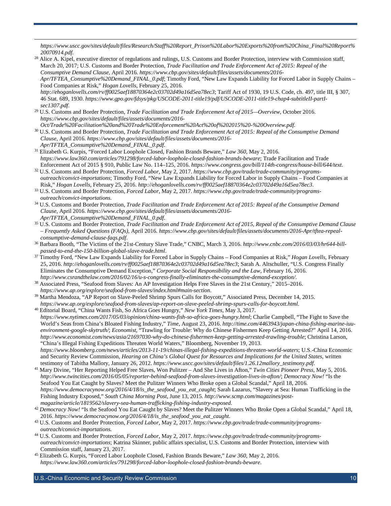*[https://www.uscc.gov/sites/default/files/Research/Staff%20Report\\_Prison%20Labor%20Exports%20from%20China\\_Final%20Report%](https://www.uscc.gov/sites/default/files/Research/Staff%20Report_Prison%20Labor%20Exports%20from%20China_Final%20Report%20070914.pdf) [20070914.pdf](https://www.uscc.gov/sites/default/files/Research/Staff%20Report_Prison%20Labor%20Exports%20from%20China_Final%20Report%20070914.pdf)*.

<span id="page-9-0"></span><sup>28</sup> Alice A. Kipel, executive director of regulations and rulings, U.S. Customs and Border Protection, interview with Commission staff, March 20, 2017; U.S. Customs and Border Protection, *Trade Facilitation and Trade Enforcement Act of 2015: Repeal of the Consumptive Demand Clause*, April 2016. *[https://www.cbp.gov/sites/default/files/assets/documents/2016-](https://www.cbp.gov/sites/default/files/assets/documents/2016-Apr/TFTEA_Consumptive%20Demand_FINAL_0.pdf) [Apr/TFTEA\\_Consumptive%20Demand\\_FINAL\\_0.pdf](https://www.cbp.gov/sites/default/files/assets/documents/2016-Apr/TFTEA_Consumptive%20Demand_FINAL_0.pdf)*; Timothy Ford, "New Law Expands Liability for Forced Labor in Supply Chains – Food Companies at Risk," *Hogan Lovells*, February 25, 2016. *<http://ehoganlovells.com/rv/ff0025aef18870364e2c03702d49a16d5ea78ec3>*; Tariff Act of 1930, 19 U.S. Code, ch. 497, title III, § 307, 46 Stat. 689, 1930. *[https://www.gpo.gov/fdsys/pkg/USCODE-2011-title19/pdf/USCODE-2011-title19-chap4-subtitleII-partI-](https://www.gpo.gov/fdsys/pkg/USCODE-2011-title19/pdf/USCODE-2011-title19-chap4-subtitleII-partI-sec1307.pdf)*

<span id="page-9-4"></span><span id="page-9-3"></span><span id="page-9-2"></span><span id="page-9-1"></span>*sec1307.pdf*[.](https://www.gpo.gov/fdsys/pkg/USCODE-2011-title19/pdf/USCODE-2011-title19-chap4-subtitleII-partI-sec1307.pdf) 29 U.S. Customs and Border Protection, *Trade Facilitation and Trade Enforcement Act of 2015—Overview*, October 2016. *[https://www.cbp.gov/sites/default/files/assets/documents/2016-](https://www.cbp.gov/sites/default/files/assets/documents/2016-Oct/Trade%20Facilitation%20and%20Trade%20Enforcement%20Act%20of%202015%20-%20Overview.pdf)*

 $\overline{a}$ 

- <span id="page-9-6"></span><span id="page-9-5"></span>*[Oct/Trade%20Facilitation%20and%20Trade%20Enforcement%20Act%20of%202015%20-%20Overview.pdf.](https://www.cbp.gov/sites/default/files/assets/documents/2016-Oct/Trade%20Facilitation%20and%20Trade%20Enforcement%20Act%20of%202015%20-%20Overview.pdf)* <sup>30</sup> U.S. Customs and Border Protection, *Trade Facilitation and Trade Enforcement Act of 2015: Repeal of the Consumptive Demand Clause*, April 2016. *[https://www.cbp.gov/sites/default/files/assets/documents/2016-](https://www.cbp.gov/sites/default/files/assets/documents/2016-Apr/TFTEA_Consumptive%20Demand_FINAL_0.pdf) [Apr/TFTEA\\_Consumptive%20Demand\\_FINAL\\_0.pdf](https://www.cbp.gov/sites/default/files/assets/documents/2016-Apr/TFTEA_Consumptive%20Demand_FINAL_0.pdf)*.
- <sup>31</sup> Elizabeth G. Kurpis, "Forced Labor Loophole Closed, Fashion Brands Beware," *Law 360*, May 2, 2016. *<https://www.law360.com/articles/791298/forced-labor-loophole-closed-fashion-brands-beware>*; Trade Facilitation and Trade
- <span id="page-9-8"></span><span id="page-9-7"></span><sup>32</sup> U[.](https://www.congress.gov/bill/114th-congress/house-bill/644/text)S. Customs and Border Protection, Forced Labor, May 2, 2017. [https://www.cbp.gov/trade/trade-community/programs](https://www.cbp.gov/trade/trade-community/programs-outreach/convict-importations)*[outreach/convict-importations](https://www.cbp.gov/trade/trade-community/programs-outreach/convict-importations)*; Timothy Ford, "New Law Expands Liability for Forced Labor in Supply Chains – Food Companies at Risk," *Hogan Lovells*, February 25, 2016. *<http://ehoganlovells.com/rv/ff0025aef18870364e2c03702d49a16d5ea78ec3>*.
- <span id="page-9-9"></span><sup>33</sup> U.S. Customs and Border Protection, *Forced Labor*, May 2, 2017. *[https://www.cbp.gov/trade/trade-community/programs](https://www.cbp.gov/trade/trade-community/programs-outreach/convict-importations)[outreach/convict-importations](https://www.cbp.gov/trade/trade-community/programs-outreach/convict-importations)*.
- <span id="page-9-10"></span><sup>34</sup> U.S. Customs and Border Protection, *Trade Facilitation and Trade Enforcement Act of 2015: Repeal of the Consumptive Demand Clause*, April 2016. *[https://www.cbp.gov/sites/default/files/assets/documents/2016-](https://www.cbp.gov/sites/default/files/assets/documents/2016-Apr/TFTEA_Consumptive%20Demand_FINAL_0.pdf)*
- *Apr/TFTEA\_Consumptive%20Demand\_FINAL\_0.pdf*[.](https://www.cbp.gov/sites/default/files/assets/documents/2016-Apr/TFTEA_Consumptive%20Demand_FINAL_0.pdf) 35 U.S. Customs and Border Protection, *Trade Facilitation and Trade Enforcement Act of 2015, Repeal of the Consumptive Demand Clause – Frequently Asked Questions (FAQs)*, April 2016. *[https://www.cbp.gov/sites/default/files/assets/documents/2016-Apr/tftea-repeal-](https://www.cbp.gov/sites/default/files/assets/documents/2016-Apr/tftea-repeal-consumptive-demand-clause-faqs.pdf)*
- <span id="page-9-11"></span>*consumptive-demand-clause-faqs.pdf*[.](https://www.cbp.gov/sites/default/files/assets/documents/2016-Apr/tftea-repeal-consumptive-demand-clause-faqs.pdf) 36 Barbara Booth, "The Victims of the 21st-Century Slave Trade," CNBC, March 3, 2016. *[http://www.cnbc.com/2016/03/03/hr644-bill](http://www.cnbc.com/2016/03/03/hr644-bill-passed-to-end-the-150-billion-global-slave-trade.html)[passed-to-end-the-150-billion-global-slave-trade.html](http://www.cnbc.com/2016/03/03/hr644-bill-passed-to-end-the-150-billion-global-slave-trade.html)*.
- <span id="page-9-12"></span><sup>37</sup> Timothy Ford, "New Law Expands Liability for Forced Labor in Supply Chains – Food Companies at Risk," *Hogan Lovells*, February 25, 2016. *<http://ehoganlovells.com/rv/ff0025aef18870364e2c03702d49a16d5ea78ec3>*; Sarah A. Altschuller, "U.S. Congress Finally Eliminates the Consumptive Demand Exception," *Corporate Social Responsibility and the Law*, February 16, 2016. *<http://www.csrandthelaw.com/2016/02/16/u-s-congress-finally-eliminates-the-consumptive-demand-exception/>*.
- <span id="page-9-13"></span><sup>38</sup> Associated Press, "Seafood from Slaves: An AP Investigation Helps Free Slaves in the 21st Century," 2015–2016.
- <span id="page-9-15"></span><span id="page-9-14"></span>*https://www.ap.org/explore/seafood-from-slaves/index.html#main-section*[.](https://www.ap.org/explore/seafood-from-slaves/index.html#main-section) 39 Martha Mendoza, "AP Report on Slave-Peeled Shrimp Spurs Calls for Boycott," Associated Press, December 14, 2015. *<https://www.ap.org/explore/seafood-from-slaves/ap-report-on-slave-peeled-shrimp-spurs-calls-for-boycott.html>*.
- <span id="page-9-18"></span><span id="page-9-17"></span><span id="page-9-16"></span><sup>40</sup> Editorial Board, "China Wants Fish, So Africa Goes Hungry," *New York Times*, May 3, 2017. *<https://www.nytimes.com/2017/05/03/opinion/china-wants-fish-so-africa-goes-hungry.html>*; Charlie Campbell, "The Fight to Save the World's Seas from China's Bloated Fishing Industry," *Time*, August 23, 2016. *[http://time.com/4463943/japan-china-fishing-marine-iuu](http://time.com/4463943/japan-china-fishing-marine-iuu-environment-google-skytruth/)[environment-google-skytruth/](http://time.com/4463943/japan-china-fishing-marine-iuu-environment-google-skytruth/)*; *Economist*, "Trawling for Trouble: Why do Chinese Fishermen Keep Getting Arrested?" April 14, 2016. *<http://www.economist.com/news/asia/21697030-why-do-chinese-fishermen-keep-getting-arrested-trawling-trouble>*; Christina Larson, "China's Illegal Fishing Expeditions Threaten World Waters," Bloomberg, November 19, 2013. *<https://www.bloomberg.com/news/articles/2013-11-19/chinas-illegal-fishing-expeditions-threaten-world-waters>*; U.S.-China Economic and Security Review Commission, *Hearing on China's Global Quest for Resources and Implications for the United States*, written testimony of Tabitha Mallory, January 26, 2012. https://www.uscc.gov/sites/default/files/1.26.
- <span id="page-9-22"></span><span id="page-9-21"></span><span id="page-9-20"></span><span id="page-9-19"></span><sup>41</sup> Mary Divine, "Her Reporting Helped Free Slaves, Won Pulitzer – And She Lives in Afton," Twin Cities Pioneer Press, May 5, 2016[.](https://www.uscc.gov/sites/default/files/1.26.12mallory_testimony.pdf) *<http://www.twincities.com/2016/05/05/reporter-behind-seafood-from-slaves-investigation-lives-in-afton/>*; *Democracy Now!* "Is the Seafood You Eat Caught by Slaves? Meet the Pulitzer Winners Who Broke open a Global Scandal," April 18, 2016. *[https://www.democracynow.org/2016/4/18/is\\_the\\_seafood\\_you\\_eat\\_caught](https://www.democracynow.org/2016/4/18/is_the_seafood_you_eat_caught)*; Sarah Lazarus, "Slavery at Sea: Human Trafficking in the Fishing Industry Exposed," *South China Morning Post*, June 13, 2015. *[http://www.scmp.com/magazines/post-](http://www.scmp.com/magazines/post-magazine/article/1819562/slavery-sea-human-trafficking-fishing-industry-exposed)*
- <span id="page-9-24"></span><span id="page-9-23"></span>*magazine/article/1819562/slavery-sea-human-trafficking-fishing-industry-exposed*[.](http://www.scmp.com/magazines/post-magazine/article/1819562/slavery-sea-human-trafficking-fishing-industry-exposed) 42 *Democracy Now!* "Is the Seafood You Eat Caught by Slaves? Meet the Pulitzer Winners Who Broke Open a Global Scandal," April 18, 2016. *[https://www.democracynow.org/2016/4/18/is\\_the\\_seafood\\_you\\_eat\\_caught](https://www.democracynow.org/2016/4/18/is_the_seafood_you_eat_caught)*.
- <sup>43</sup> U.S. Customs and Border Protection, *Forced Labor*, May 2, 2017. *[https://www.cbp.gov/trade/trade-community/programs](https://www.cbp.gov/trade/trade-community/programs-outreach/convict-importations)[outreach/convict-importations.](https://www.cbp.gov/trade/trade-community/programs-outreach/convict-importations)*
- <span id="page-9-25"></span><sup>44</sup> U.S. Customs and Border Protection, *Forced Labor*, May 2, 2017. *[https://www.cbp.gov/trade/trade-community/programs](https://www.cbp.gov/trade/trade-community/programs-outreach/convict-importations)[outreach/convict-importations](https://www.cbp.gov/trade/trade-community/programs-outreach/convict-importations)*; Katrina Skinner, public affairs specialist, U.S. Customs and Border Protection, interview with Commission staff, January 23, 2017.
- <span id="page-9-26"></span><sup>45</sup> Elizabeth G. Kurpis, "Forced Labor Loophole Closed, Fashion Brands Beware," *Law 360*, May 2, 2016. *<https://www.law360.com/articles/791298/forced-labor-loophole-closed-fashion-brands-beware>*.